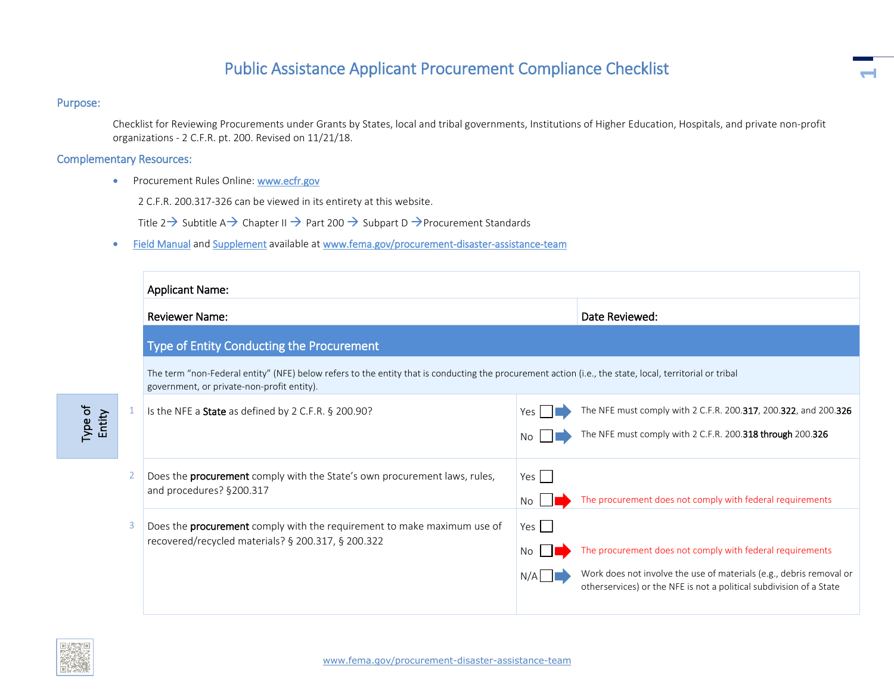## Public Assistance Applicant Procurement Compliance Checklist

## Purpose:

Checklist for Reviewing Procurements under Grants by States, local and tribal governments, Institutions of Higher Education, Hospitals, and private non-profit organizations - 2 C.F.R. pt. 200. Revised on 11/21/18.

**1**

## Complementary Resources:

• Procurement Rules Online: [www.ecfr.gov](https://intranet.fema.net/org/occ/collab/PFLD/PDAT%20Collaboration%20Library/Lynda%20Cortes-Avellaneda/www.ecfr.gov)

2 C.F.R. 200.317-326 can be viewed in its entirety at this website.

Title 2  $\rightarrow$  Subtitle A  $\rightarrow$  Chapter II  $\rightarrow$  Part 200  $\rightarrow$  Subpart D  $\rightarrow$  Procurement Standards

• [Field Manual](https://www.fema.gov/media-library-data/1419360792322-f48c312608aabbc277b9bc41f869bdd3/PublicAssistanceGranteeSubgranteeProcurementFieldManual.pdf) an[d Supplement](https://www.fema.gov/media-library-data/1466525379386-2a9382db5b667def50cf9f2f7b482ee8/FEMAProcurementUnderGrantsFieldManualSupplementFinal.pdf) available at [www.fema.gov/procurement-disaster-assistance-team](http://www.fema.gov/procurement-disaster-assistance-team)

| <b>Applicant Name:</b>                                                                                                                                                                                |     |                                                                                                                                            |  |  |
|-------------------------------------------------------------------------------------------------------------------------------------------------------------------------------------------------------|-----|--------------------------------------------------------------------------------------------------------------------------------------------|--|--|
| <b>Reviewer Name:</b>                                                                                                                                                                                 |     | Date Reviewed:                                                                                                                             |  |  |
| Type of Entity Conducting the Procurement                                                                                                                                                             |     |                                                                                                                                            |  |  |
| The term "non-Federal entity" (NFE) below refers to the entity that is conducting the procurement action (i.e., the state, local, territorial or tribal<br>government, or private-non-profit entity). |     |                                                                                                                                            |  |  |
| Is the NFE a State as defined by 2 C.F.R. § 200.90?                                                                                                                                                   | Yes | The NFE must comply with 2 C.F.R. 200.317, 200.322, and 200.326                                                                            |  |  |
|                                                                                                                                                                                                       |     | The NFE must comply with 2 C.F.R. 200.318 through 200.326                                                                                  |  |  |
| Does the <b>procurement</b> comply with the State's own procurement laws, rules,<br>and procedures? §200.317                                                                                          | Yes |                                                                                                                                            |  |  |
|                                                                                                                                                                                                       | No. | The procurement does not comply with federal requirements                                                                                  |  |  |
| Does the procurement comply with the requirement to make maximum use of                                                                                                                               | Yes |                                                                                                                                            |  |  |
| recovered/recycled materials? § 200.317, § 200.322                                                                                                                                                    | No. | The procurement does not comply with federal requirements                                                                                  |  |  |
|                                                                                                                                                                                                       |     | Work does not involve the use of materials (e.g., debris removal or<br>otherservices) or the NFE is not a political subdivision of a State |  |  |
|                                                                                                                                                                                                       |     |                                                                                                                                            |  |  |



Type of Entity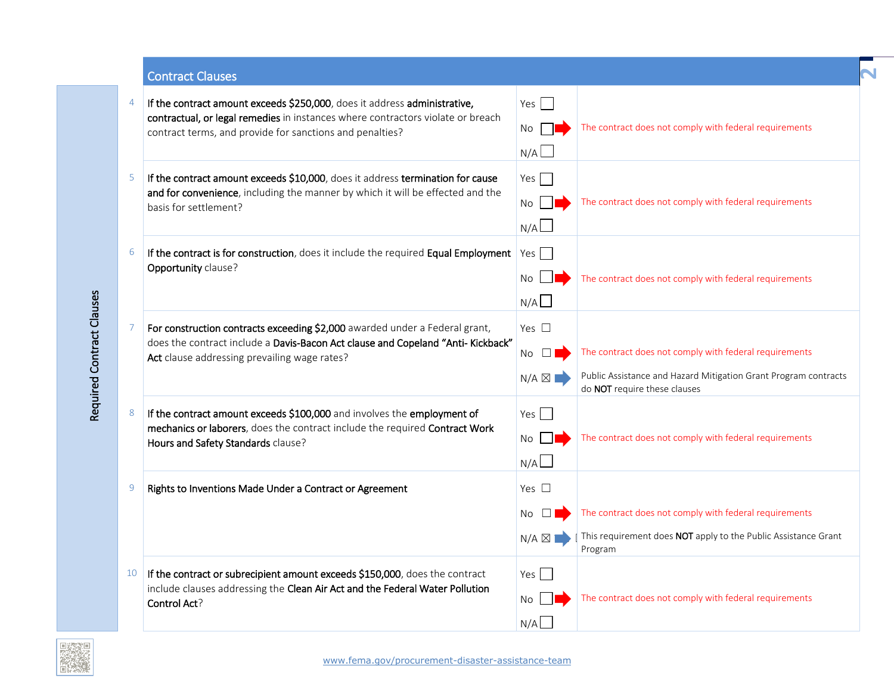Contract Clauses

|    | If the contract amount exceeds \$250,000, does it address administrative,<br>contractual, or legal remedies in instances where contractors violate or breach<br>contract terms, and provide for sanctions and penalties? | Yes  <br>No<br>N/A                                 | The contract does not comply with federal requirements                                                                                                    |
|----|--------------------------------------------------------------------------------------------------------------------------------------------------------------------------------------------------------------------------|----------------------------------------------------|-----------------------------------------------------------------------------------------------------------------------------------------------------------|
| -5 | If the contract amount exceeds \$10,000, does it address termination for cause<br>and for convenience, including the manner by which it will be effected and the<br>basis for settlement?                                | Yes<br>No<br>N/A                                   | The contract does not comply with federal requirements                                                                                                    |
| 6  | If the contract is for construction, does it include the required Equal Employment<br>Opportunity clause?                                                                                                                | Yes<br>No<br>N/A                                   | The contract does not comply with federal requirements                                                                                                    |
|    | For construction contracts exceeding \$2,000 awarded under a Federal grant,<br>does the contract include a Davis-Bacon Act clause and Copeland "Anti- Kickback"<br>Act clause addressing prevailing wage rates?          | Yes $\square$<br>No $\square$<br>$N/A \boxtimes I$ | The contract does not comply with federal requirements<br>Public Assistance and Hazard Mitigation Grant Program contracts<br>do NOT require these clauses |
| 8  | If the contract amount exceeds \$100,000 and involves the employment of<br>mechanics or laborers, does the contract include the required Contract Work<br>Hours and Safety Standards clause?                             | Yes<br>No l<br>N/A                                 | The contract does not comply with federal requirements                                                                                                    |
| 9  | Rights to Inventions Made Under a Contract or Agreement                                                                                                                                                                  | Yes $\square$<br>No.<br>$N/A \boxtimes$            | The contract does not comply with federal requirements<br>This requirement does NOT apply to the Public Assistance Grant<br>Program                       |
| 10 | If the contract or subrecipient amount exceeds \$150,000, does the contract<br>include clauses addressing the Clean Air Act and the Federal Water Pollution<br>Control Act?                                              | Yes<br>No<br>N/A                                   | The contract does not comply with federal requirements                                                                                                    |

**2** 

Required Contract Clauses

Required Contract Clauses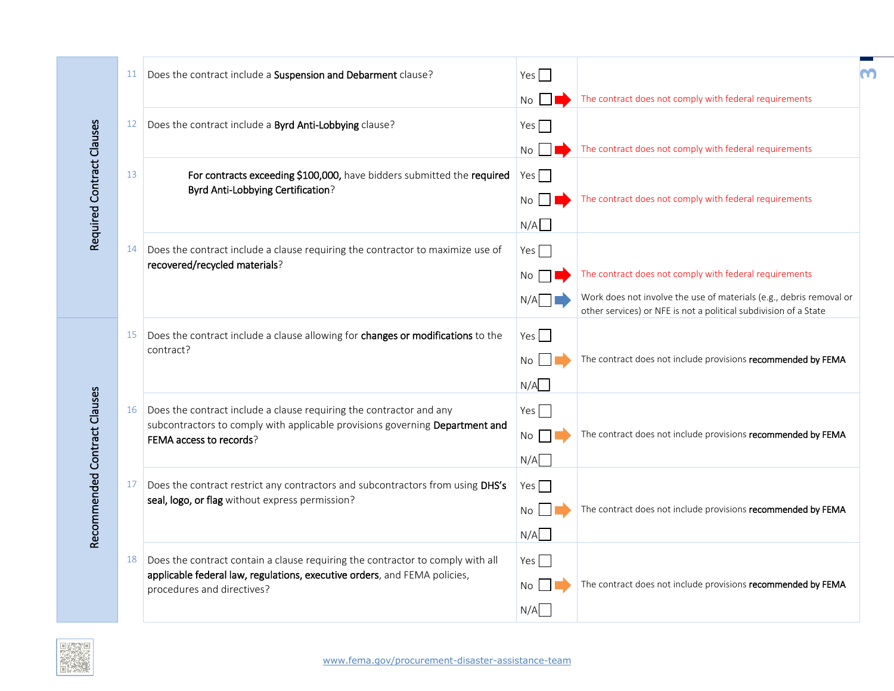|                              | 11 | Does the contract include a Suspension and Debarment clause?                                                                                                                              | Yes<br>No              | The contract does not comply with federal requirements                                                                                  |  |
|------------------------------|----|-------------------------------------------------------------------------------------------------------------------------------------------------------------------------------------------|------------------------|-----------------------------------------------------------------------------------------------------------------------------------------|--|
|                              | 12 | Does the contract include a Byrd Anti-Lobbying clause?                                                                                                                                    | Yes                    |                                                                                                                                         |  |
| Required Contract Clauses    | 13 | For contracts exceeding \$100,000, have bidders submitted the required<br>Byrd Anti-Lobbying Certification?                                                                               | No<br>Yes $\Box$<br>No | The contract does not comply with federal requirements<br>The contract does not comply with federal requirements                        |  |
|                              |    |                                                                                                                                                                                           | N/A                    |                                                                                                                                         |  |
|                              | 14 | Does the contract include a clause requiring the contractor to maximize use of<br>recovered/recycled materials?                                                                           | Yes $\Box$<br>No       | The contract does not comply with federal requirements                                                                                  |  |
|                              |    |                                                                                                                                                                                           | N/A                    | Work does not involve the use of materials (e.g., debris removal or<br>other services) or NFE is not a political subdivision of a State |  |
|                              | 15 | Does the contract include a clause allowing for changes or modifications to the<br>contract?                                                                                              | Yes<br>No              | The contract does not include provisions recommended by FEMA                                                                            |  |
|                              |    |                                                                                                                                                                                           | N/A                    |                                                                                                                                         |  |
| Recommended Contract Clauses | 16 | Does the contract include a clause requiring the contractor and any<br>subcontractors to comply with applicable provisions governing Department and<br>FEMA access to records?            | Yes $\Box$<br>No       | The contract does not include provisions recommended by FEMA                                                                            |  |
|                              | 17 | Does the contract restrict any contractors and subcontractors from using DHS's                                                                                                            | N/A<br>Yes             |                                                                                                                                         |  |
|                              |    | seal, logo, or flag without express permission?                                                                                                                                           | No<br>N/A              | The contract does not include provisions recommended by FEMA                                                                            |  |
|                              | 18 | Does the contract contain a clause requiring the contractor to comply with all<br>applicable federal law, regulations, executive orders, and FEMA policies,<br>procedures and directives? | Yes $\Box$<br>No       | The contract does not include provisions recommended by FEMA                                                                            |  |
|                              |    |                                                                                                                                                                                           | N/A                    |                                                                                                                                         |  |

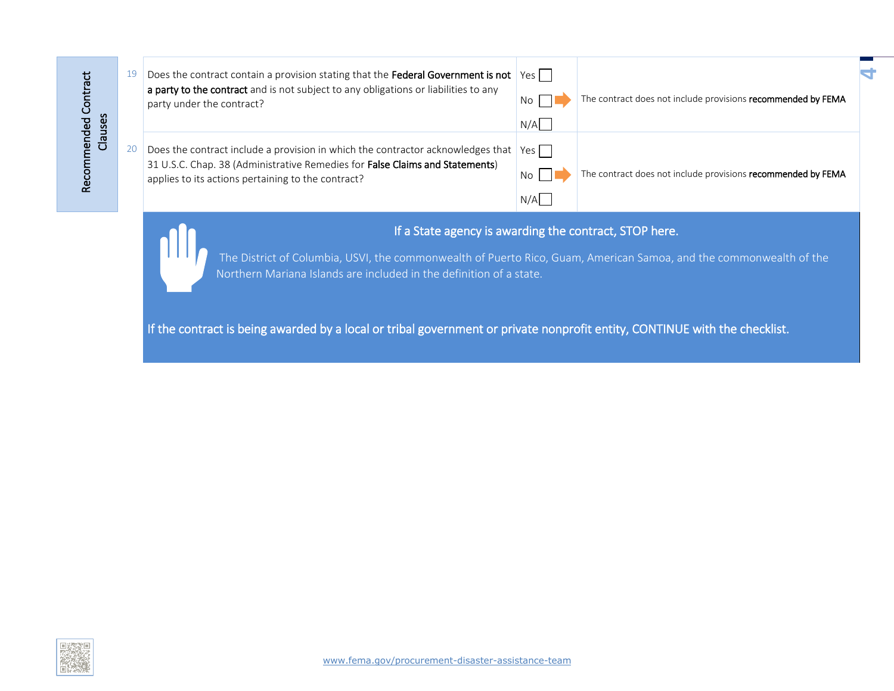|         | 19 | Does the contract contain a provision stating that the Federal Government is not<br>a party to the contract and is not subject to any obligations or liabilities to any<br>party under the contract?                  | Yes<br>No I<br>N/A | The contract does not include provisions recommended by FEMA |
|---------|----|-----------------------------------------------------------------------------------------------------------------------------------------------------------------------------------------------------------------------|--------------------|--------------------------------------------------------------|
| Clauses |    | Does the contract include a provision in which the contractor acknowledges that<br>31 U.S.C. Chap. 38 (Administrative Remedies for False Claims and Statements)<br>applies to its actions pertaining to the contract? | Yes<br>No.<br>N/A  | The contract does not include provisions recommended by FEMA |

## If a State agency is awarding the contract, STOP here.

**4**

The District of Columbia, USVI, the commonwealth of Puerto Rico, Guam, American Samoa, and the commonwealth of the Northern Mariana Islands are included in the definition of a state.

If the contract is being awarded by a local or tribal government or private nonprofit entity, CONTINUE with the checklist.



Recommended Contract

Recommended Contract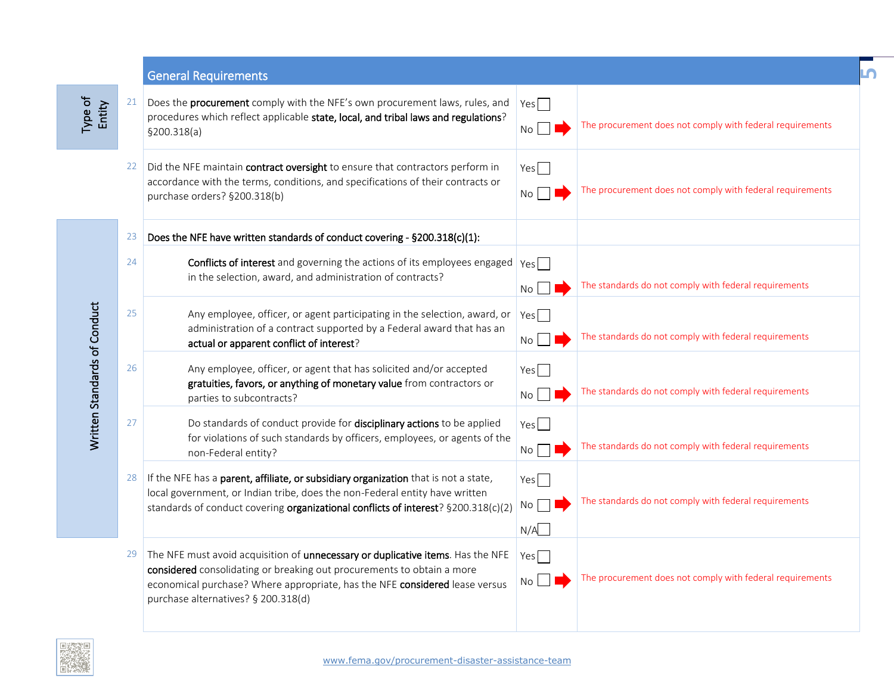|                              |    | <b>General Requirements</b>                                                                                                                                                                                                                                                     |                        |                                                           | LN, |
|------------------------------|----|---------------------------------------------------------------------------------------------------------------------------------------------------------------------------------------------------------------------------------------------------------------------------------|------------------------|-----------------------------------------------------------|-----|
| Type of<br>Entity            | 21 | Does the procurement comply with the NFE's own procurement laws, rules, and<br>procedures which reflect applicable state, local, and tribal laws and regulations?<br>§200.318(a)                                                                                                | $Yes \Box$<br>No       | The procurement does not comply with federal requirements |     |
|                              | 22 | Did the NFE maintain contract oversight to ensure that contractors perform in<br>accordance with the terms, conditions, and specifications of their contracts or<br>purchase orders? §200.318(b)                                                                                | Yes<br>No              | The procurement does not comply with federal requirements |     |
|                              | 23 | Does the NFE have written standards of conduct covering - §200.318(c)(1):                                                                                                                                                                                                       |                        |                                                           |     |
|                              | 24 | Conflicts of interest and governing the actions of its employees engaged $\gamma_{\text{es}}$<br>in the selection, award, and administration of contracts?                                                                                                                      | No                     | The standards do not comply with federal requirements     |     |
|                              | 25 | Any employee, officer, or agent participating in the selection, award, or<br>administration of a contract supported by a Federal award that has an<br>actual or apparent conflict of interest?                                                                                  | Yes<br>No              | The standards do not comply with federal requirements     |     |
| Written Standards of Conduct | 26 | Any employee, officer, or agent that has solicited and/or accepted<br>gratuities, favors, or anything of monetary value from contractors or<br>parties to subcontracts?                                                                                                         | Yes<br>No <sub>1</sub> | The standards do not comply with federal requirements     |     |
|                              | 27 | Do standards of conduct provide for disciplinary actions to be applied<br>for violations of such standards by officers, employees, or agents of the<br>non-Federal entity?                                                                                                      | Yes<br>No              | The standards do not comply with federal requirements     |     |
|                              | 28 | If the NFE has a parent, affiliate, or subsidiary organization that is not a state,<br>local government, or Indian tribe, does the non-Federal entity have written<br>standards of conduct covering organizational conflicts of interest? §200.318(c)(2)                        | Yes<br>No l<br>N/A     | The standards do not comply with federal requirements     |     |
|                              | 29 | The NFE must avoid acquisition of unnecessary or duplicative items. Has the NFE<br>considered consolidating or breaking out procurements to obtain a more<br>economical purchase? Where appropriate, has the NFE considered lease versus<br>purchase alternatives? § 200.318(d) | Yes<br>No              | The procurement does not comply with federal requirements |     |

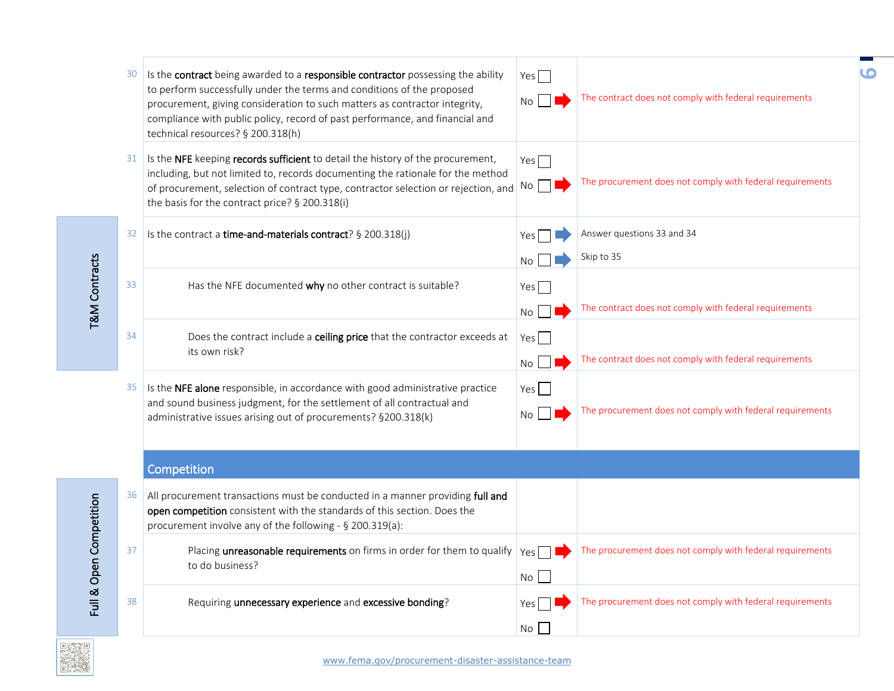| 30 | Is the contract being awarded to a responsible contractor possessing the ability<br>to perform successfully under the terms and conditions of the proposed<br>procurement, giving consideration to such matters as contractor integrity,<br>compliance with public policy, record of past performance, and financial and<br>technical resources? § 200.318(h) | $Yes \Box$<br>No       | The contract does not comply with federal requirements    | 6 |
|----|---------------------------------------------------------------------------------------------------------------------------------------------------------------------------------------------------------------------------------------------------------------------------------------------------------------------------------------------------------------|------------------------|-----------------------------------------------------------|---|
| 31 | Is the NFE keeping records sufficient to detail the history of the procurement,<br>including, but not limited to, records documenting the rationale for the method<br>of procurement, selection of contract type, contractor selection or rejection, and<br>the basis for the contract price? § 200.318(i)                                                    | Yes $\Box$<br>$No$     | The procurement does not comply with federal requirements |   |
| 32 | Is the contract a time-and-materials contract? § 200.318(j)                                                                                                                                                                                                                                                                                                   | Yes<br>No              | Answer questions 33 and 34<br>Skip to 35                  |   |
| 33 | Has the NFE documented why no other contract is suitable?                                                                                                                                                                                                                                                                                                     | Yes<br>No <sub>1</sub> | The contract does not comply with federal requirements    |   |
| 34 | Does the contract include a ceiling price that the contractor exceeds at<br>its own risk?                                                                                                                                                                                                                                                                     | Yes<br>No              | The contract does not comply with federal requirements    |   |
| 35 | Is the NFE alone responsible, in accordance with good administrative practice<br>and sound business judgment, for the settlement of all contractual and<br>administrative issues arising out of procurements? §200.318(k)                                                                                                                                     | Yes<br>No              | The procurement does not comply with federal requirements |   |
|    | Competition                                                                                                                                                                                                                                                                                                                                                   |                        |                                                           |   |
| 36 | All procurement transactions must be conducted in a manner providing full and<br>open competition consistent with the standards of this section. Does the<br>procurement involve any of the following - § 200.319(a):                                                                                                                                         |                        |                                                           |   |
| 37 | Placing unreasonable requirements on firms in order for them to qualify<br>to do business?                                                                                                                                                                                                                                                                    | $Yes \Box$<br>No       | The procurement does not comply with federal requirements |   |
| 38 | Requiring unnecessary experience and excessive bonding?                                                                                                                                                                                                                                                                                                       | Yes l<br>No            | The procurement does not comply with federal requirements |   |

Full & Open Competition Full & Open Competition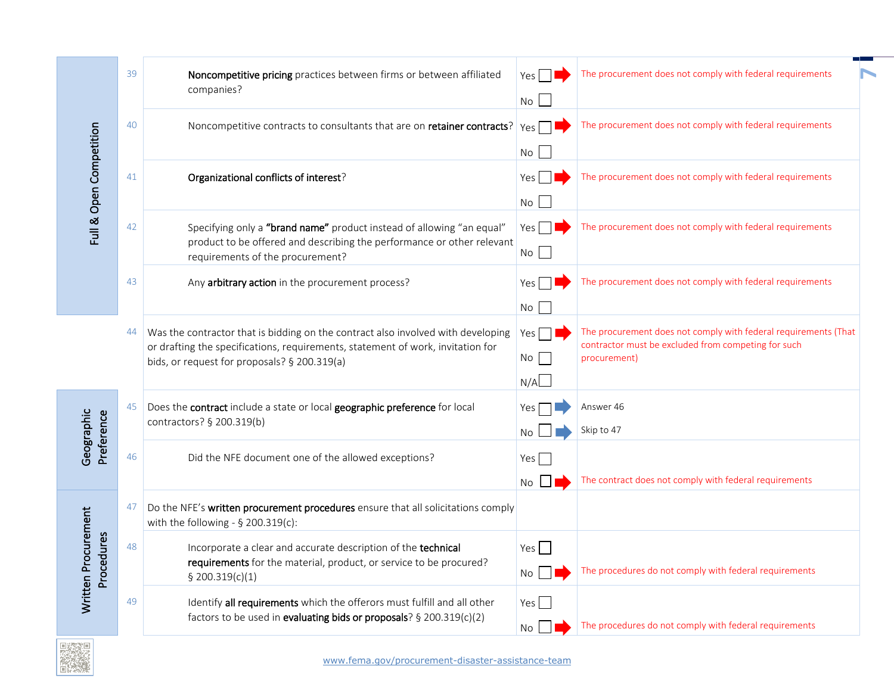|                                   | 39  | Noncompetitive pricing practices between firms or between affiliated<br>companies?                                                                                                                                  | Yes<br>No                 | The procurement does not comply with federal requirements                                                                              |
|-----------------------------------|-----|---------------------------------------------------------------------------------------------------------------------------------------------------------------------------------------------------------------------|---------------------------|----------------------------------------------------------------------------------------------------------------------------------------|
|                                   | 40  | Noncompetitive contracts to consultants that are on retainer contracts?                                                                                                                                             | $Yes \Box$<br>No          | The procurement does not comply with federal requirements                                                                              |
| Full & Open Competition           | 41  | Organizational conflicts of interest?                                                                                                                                                                               | Yes  <br>No               | The procurement does not comply with federal requirements                                                                              |
|                                   | 42  | Specifying only a "brand name" product instead of allowing "an equal"<br>product to be offered and describing the performance or other relevant<br>requirements of the procurement?                                 | Yes $\Box$<br>No          | The procurement does not comply with federal requirements                                                                              |
|                                   | 43  | Any arbitrary action in the procurement process?                                                                                                                                                                    | Yes l<br>No               | The procurement does not comply with federal requirements                                                                              |
|                                   | 44  | Was the contractor that is bidding on the contract also involved with developing<br>or drafting the specifications, requirements, statement of work, invitation for<br>bids, or request for proposals? § 200.319(a) | $Yes \Box$<br>No<br>N/A   | The procurement does not comply with federal requirements (That<br>contractor must be excluded from competing for such<br>procurement) |
| Geographic<br>Preference          | 45  | Does the contract include a state or local geographic preference for local<br>contractors? § 200.319(b)                                                                                                             | Yes <sub>l</sub><br>No.   | Answer 46<br>Skip to 47                                                                                                                |
|                                   | 46  | Did the NFE document one of the allowed exceptions?                                                                                                                                                                 | Yes $\Box$<br>$No$ $\Box$ | The contract does not comply with federal requirements                                                                                 |
|                                   | -47 | Do the NFE's written procurement procedures ensure that all solicitations comply<br>with the following - $\S$ 200.319(c):                                                                                           |                           |                                                                                                                                        |
| Written Procurement<br>Procedures | 48  | Incorporate a clear and accurate description of the technical<br>requirements for the material, product, or service to be procured?<br>\$200.319(c)(1)                                                              | Yes $\Box$<br>$No$ $\Box$ | The procedures do not comply with federal requirements                                                                                 |
|                                   | 49  | Identify all requirements which the offerors must fulfill and all other<br>factors to be used in evaluating bids or proposals? § 200.319(c)(2)                                                                      | Yes $\Box$<br>No L        | The procedures do not comply with federal requirements                                                                                 |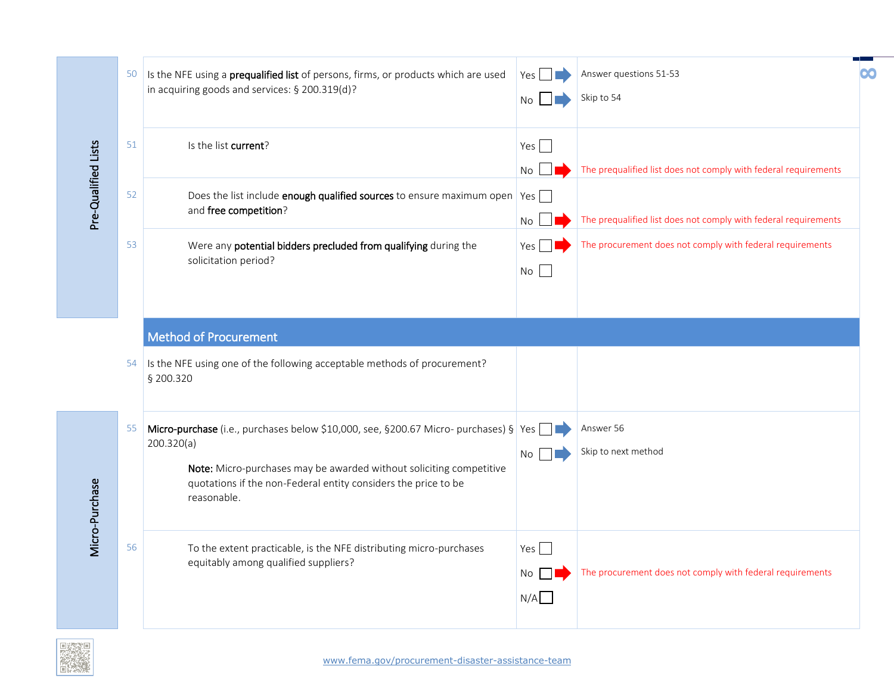|                     | 50 | Is the NFE using a prequalified list of persons, firms, or products which are used<br>in acquiring goods and services: § 200.319(d)?                                                                                                                       | <b>Yes</b><br>No.         | Answer questions 51-53<br>Skip to 54                            | 00 |
|---------------------|----|------------------------------------------------------------------------------------------------------------------------------------------------------------------------------------------------------------------------------------------------------------|---------------------------|-----------------------------------------------------------------|----|
|                     | 51 | Is the list current?                                                                                                                                                                                                                                       | Yes<br>No                 | The prequalified list does not comply with federal requirements |    |
| Pre-Qualified Lists | 52 | Does the list include enough qualified sources to ensure maximum open Yes<br>and free competition?                                                                                                                                                         | No                        | The prequalified list does not comply with federal requirements |    |
|                     | 53 | Were any potential bidders precluded from qualifying during the<br>solicitation period?                                                                                                                                                                    | Yes  <br>No               | The procurement does not comply with federal requirements       |    |
|                     |    | <b>Method of Procurement</b><br>54 Is the NFE using one of the following acceptable methods of procurement?                                                                                                                                                |                           |                                                                 |    |
|                     |    | § 200.320                                                                                                                                                                                                                                                  |                           |                                                                 |    |
| Micro-Purchase      | 55 | Micro-purchase (i.e., purchases below \$10,000, see, §200.67 Micro- purchases) § Yes<br>200.320(a)<br>Note: Micro-purchases may be awarded without soliciting competitive<br>quotations if the non-Federal entity considers the price to be<br>reasonable. | No                        | Answer 56<br>Skip to next method                                |    |
|                     | 56 | To the extent practicable, is the NFE distributing micro-purchases<br>equitably among qualified suppliers?                                                                                                                                                 | Yes $\Box$<br>No I<br>N/A | The procurement does not comply with federal requirements       |    |

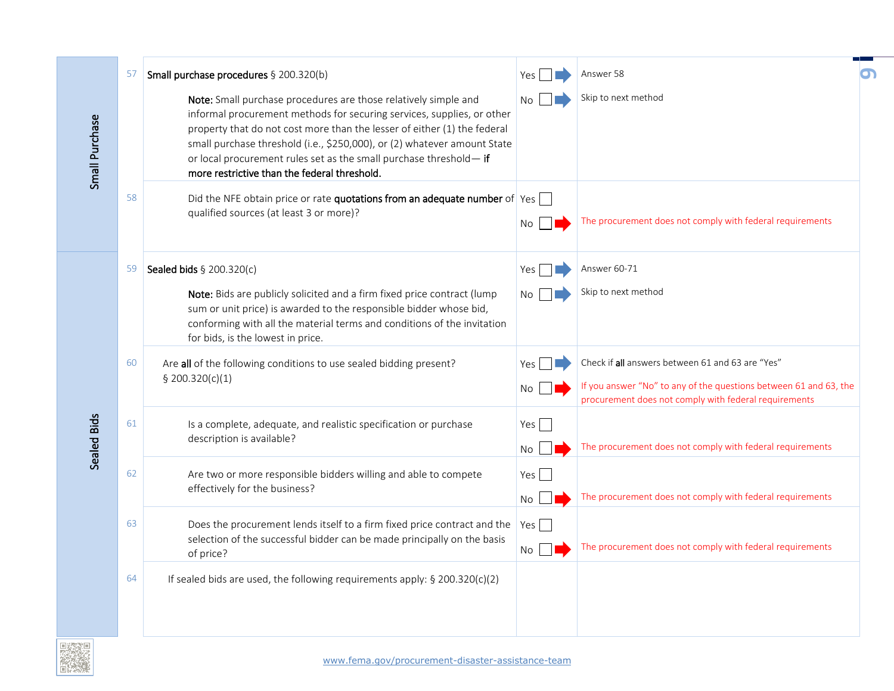|                | 57 | Small purchase procedures § 200.320(b)                                                                                                                                                                                                                                                                                                                                                                                 | Yes       | Answer 58                                                                                                                                                                      |  |
|----------------|----|------------------------------------------------------------------------------------------------------------------------------------------------------------------------------------------------------------------------------------------------------------------------------------------------------------------------------------------------------------------------------------------------------------------------|-----------|--------------------------------------------------------------------------------------------------------------------------------------------------------------------------------|--|
| Small Purchase |    | Note: Small purchase procedures are those relatively simple and<br>informal procurement methods for securing services, supplies, or other<br>property that do not cost more than the lesser of either (1) the federal<br>small purchase threshold (i.e., \$250,000), or (2) whatever amount State<br>or local procurement rules set as the small purchase threshold-if<br>more restrictive than the federal threshold. | No.       | Skip to next method                                                                                                                                                            |  |
|                | 58 | Did the NFE obtain price or rate quotations from an adequate number of Yes<br>qualified sources (at least 3 or more)?                                                                                                                                                                                                                                                                                                  | No        | The procurement does not comply with federal requirements                                                                                                                      |  |
|                | 59 | Sealed bids § 200.320(c)                                                                                                                                                                                                                                                                                                                                                                                               | Yes       | Answer 60-71                                                                                                                                                                   |  |
|                |    | Note: Bids are publicly solicited and a firm fixed price contract (lump<br>sum or unit price) is awarded to the responsible bidder whose bid,<br>conforming with all the material terms and conditions of the invitation<br>for bids, is the lowest in price.                                                                                                                                                          | No.       | Skip to next method                                                                                                                                                            |  |
|                | 60 | Are all of the following conditions to use sealed bidding present?<br>\$200.320(c)(1)                                                                                                                                                                                                                                                                                                                                  | Yes<br>No | Check if all answers between 61 and 63 are "Yes"<br>If you answer "No" to any of the questions between 61 and 63, the<br>procurement does not comply with federal requirements |  |
| Sealed Bids    | 61 | Is a complete, adequate, and realistic specification or purchase<br>description is available?                                                                                                                                                                                                                                                                                                                          | Yes<br>No | The procurement does not comply with federal requirements                                                                                                                      |  |
|                | 62 | Are two or more responsible bidders willing and able to compete<br>effectively for the business?                                                                                                                                                                                                                                                                                                                       | Yes<br>No | The procurement does not comply with federal requirements                                                                                                                      |  |
|                | 63 | Does the procurement lends itself to a firm fixed price contract and the<br>selection of the successful bidder can be made principally on the basis<br>of price?                                                                                                                                                                                                                                                       | Yes<br>No | The procurement does not comply with federal requirements                                                                                                                      |  |
|                | 64 | If sealed bids are used, the following requirements apply: § 200.320(c)(2)                                                                                                                                                                                                                                                                                                                                             |           |                                                                                                                                                                                |  |

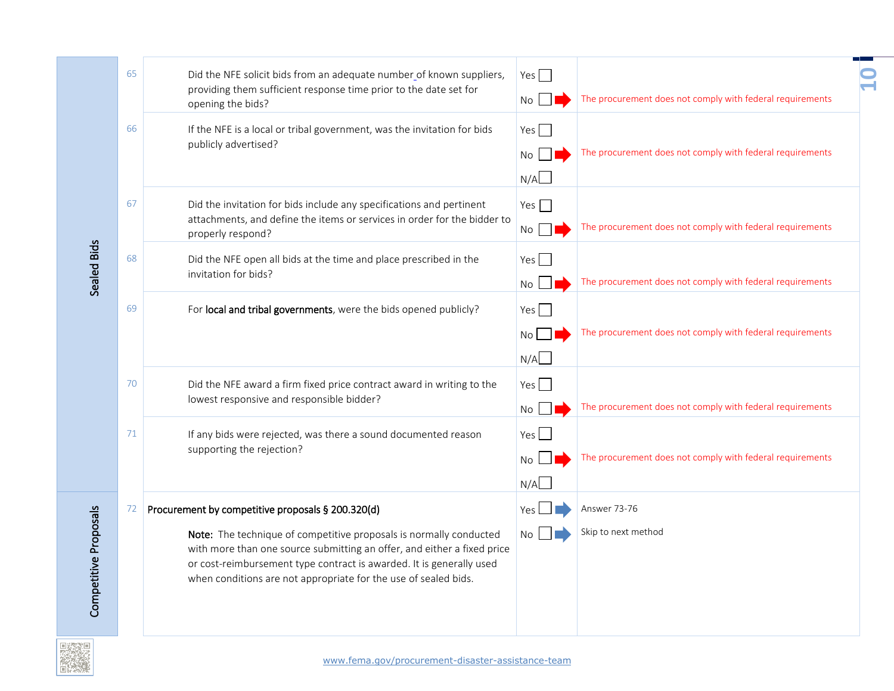| 65 | Did the NFE solicit bids from an adequate number of known suppliers,<br>providing them sufficient response time prior to the date set for<br>opening the bids?                                                                                                                                                                                | Yes $\Box$<br>No        | The procurement does not comply with federal requirements |  |
|----|-----------------------------------------------------------------------------------------------------------------------------------------------------------------------------------------------------------------------------------------------------------------------------------------------------------------------------------------------|-------------------------|-----------------------------------------------------------|--|
| 66 | If the NFE is a local or tribal government, was the invitation for bids<br>publicly advertised?                                                                                                                                                                                                                                               | Yes $\Box$<br>No<br>N/A | The procurement does not comply with federal requirements |  |
| 67 | Did the invitation for bids include any specifications and pertinent<br>attachments, and define the items or services in order for the bidder to<br>properly respond?                                                                                                                                                                         | Yes $\Box$<br>No        | The procurement does not comply with federal requirements |  |
| 68 | Did the NFE open all bids at the time and place prescribed in the<br>invitation for bids?                                                                                                                                                                                                                                                     | Yes $\Box$<br>No        | The procurement does not comply with federal requirements |  |
| 69 | For local and tribal governments, were the bids opened publicly?                                                                                                                                                                                                                                                                              | Yes $\Box$<br>No        | The procurement does not comply with federal requirements |  |
| 70 | Did the NFE award a firm fixed price contract award in writing to the<br>lowest responsive and responsible bidder?                                                                                                                                                                                                                            | Yes<br>No               | The procurement does not comply with federal requirements |  |
| 71 | If any bids were rejected, was there a sound documented reason<br>supporting the rejection?                                                                                                                                                                                                                                                   | $Yes$  <br>No<br>N/A    | The procurement does not comply with federal requirements |  |
| 72 | Procurement by competitive proposals § 200.320(d)<br>Note: The technique of competitive proposals is normally conducted<br>with more than one source submitting an offer, and either a fixed price<br>or cost-reimbursement type contract is awarded. It is generally used<br>when conditions are not appropriate for the use of sealed bids. | Yes<br><b>No</b>        | Answer 73-76<br>Skip to next method                       |  |
|    |                                                                                                                                                                                                                                                                                                                                               |                         | N/A                                                       |  |

m.

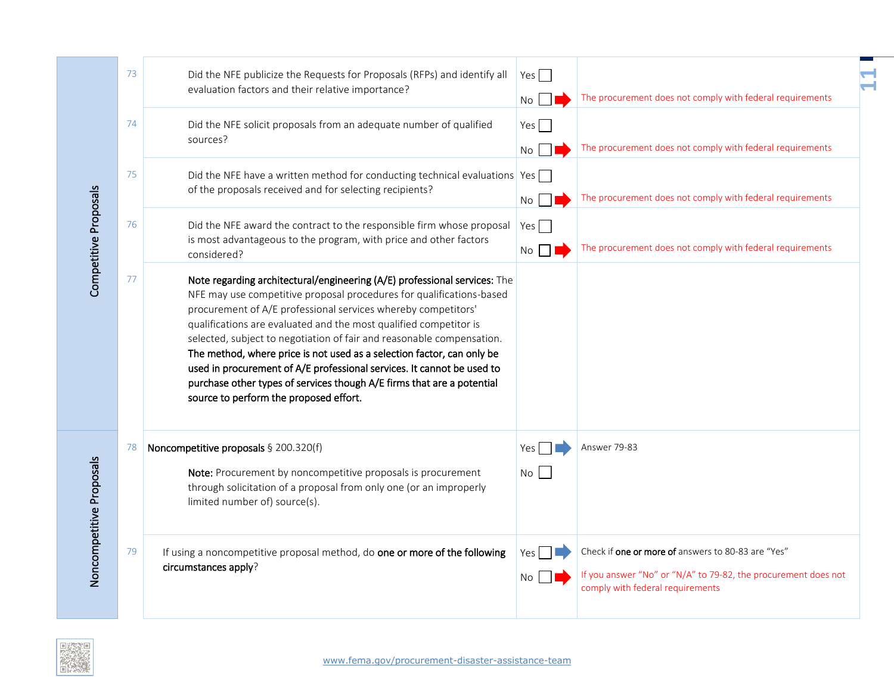|                          | 73 | Did the NFE publicize the Requests for Proposals (RFPs) and identify all<br>evaluation factors and their relative importance?                                                                                                                                                                                                                                                                                                                                                                                                                                                                                                            | Yes<br>No        | The procurement does not comply with federal requirements                                                                                                |  |
|--------------------------|----|------------------------------------------------------------------------------------------------------------------------------------------------------------------------------------------------------------------------------------------------------------------------------------------------------------------------------------------------------------------------------------------------------------------------------------------------------------------------------------------------------------------------------------------------------------------------------------------------------------------------------------------|------------------|----------------------------------------------------------------------------------------------------------------------------------------------------------|--|
|                          | 74 | Did the NFE solicit proposals from an adequate number of qualified<br>sources?                                                                                                                                                                                                                                                                                                                                                                                                                                                                                                                                                           | Yes $\Box$<br>No | The procurement does not comply with federal requirements                                                                                                |  |
|                          | 75 | Did the NFE have a written method for conducting technical evaluations $\gamma$ es<br>of the proposals received and for selecting recipients?                                                                                                                                                                                                                                                                                                                                                                                                                                                                                            | No               | The procurement does not comply with federal requirements                                                                                                |  |
| Competitive Proposals    | 76 | Did the NFE award the contract to the responsible firm whose proposal<br>is most advantageous to the program, with price and other factors<br>considered?                                                                                                                                                                                                                                                                                                                                                                                                                                                                                | Yes $\Box$<br>No | The procurement does not comply with federal requirements                                                                                                |  |
|                          | 77 | Note regarding architectural/engineering (A/E) professional services: The<br>NFE may use competitive proposal procedures for qualifications-based<br>procurement of A/E professional services whereby competitors'<br>qualifications are evaluated and the most qualified competitor is<br>selected, subject to negotiation of fair and reasonable compensation.<br>The method, where price is not used as a selection factor, can only be<br>used in procurement of A/E professional services. It cannot be used to<br>purchase other types of services though A/E firms that are a potential<br>source to perform the proposed effort. |                  |                                                                                                                                                          |  |
| Noncompetitive Proposals | 78 | Noncompetitive proposals § 200.320(f)<br>Note: Procurement by noncompetitive proposals is procurement<br>through solicitation of a proposal from only one (or an improperly<br>limited number of) source(s).                                                                                                                                                                                                                                                                                                                                                                                                                             | Yes<br>No        | Answer 79-83                                                                                                                                             |  |
|                          | 79 | If using a noncompetitive proposal method, do one or more of the following<br>circumstances apply?                                                                                                                                                                                                                                                                                                                                                                                                                                                                                                                                       | Yes<br>No        | Check if one or more of answers to 80-83 are "Yes"<br>If you answer "No" or "N/A" to 79-82, the procurement does not<br>comply with federal requirements |  |

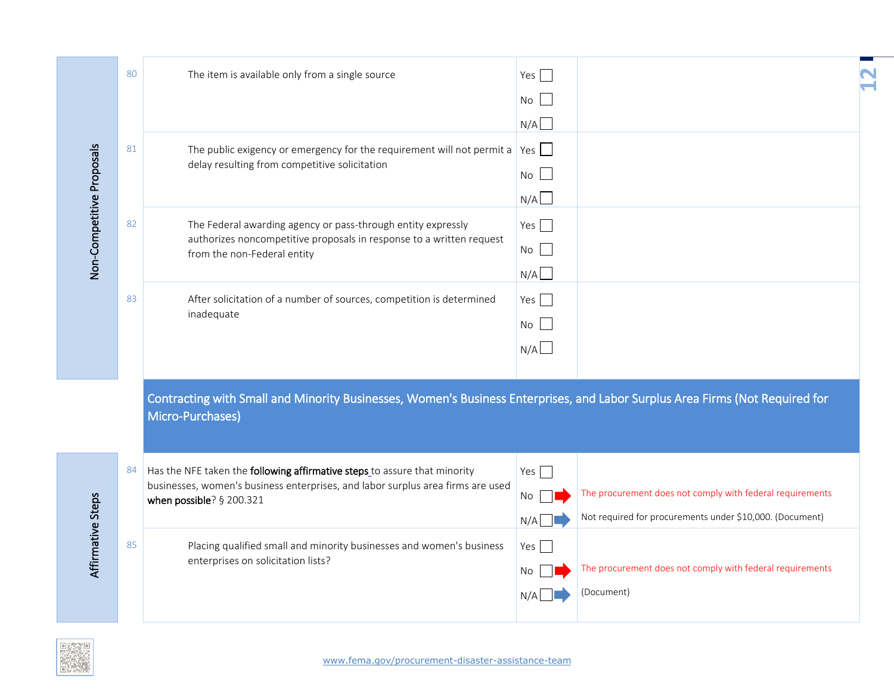|                           | 80 | The item is available only from a single source                                                                                               | Yes $\Box$ |                                                           |
|---------------------------|----|-----------------------------------------------------------------------------------------------------------------------------------------------|------------|-----------------------------------------------------------|
|                           |    |                                                                                                                                               | No         |                                                           |
|                           |    |                                                                                                                                               | N/A        |                                                           |
|                           | 81 | The public exigency or emergency for the requirement will not permit a $\sqrt{2}$ Yes $\Box$<br>delay resulting from competitive solicitation |            |                                                           |
|                           |    |                                                                                                                                               | No         |                                                           |
|                           |    |                                                                                                                                               | N/A        |                                                           |
| Non-Competitive Proposals | 82 | The Federal awarding agency or pass-through entity expressly                                                                                  | Yes $\Box$ |                                                           |
|                           |    | authorizes noncompetitive proposals in response to a written request<br>from the non-Federal entity                                           | No         |                                                           |
|                           |    |                                                                                                                                               | N/A        |                                                           |
|                           | 83 | After solicitation of a number of sources, competition is determined                                                                          | Yes $\Box$ |                                                           |
|                           |    | inadequate                                                                                                                                    | No         |                                                           |
|                           |    |                                                                                                                                               | N/A        |                                                           |
|                           |    |                                                                                                                                               |            |                                                           |
|                           |    | Contracting with Small and Minority Businesses, Women's Business Enterprises, and Labor Surplus Area Firms (Not Required for                  |            |                                                           |
|                           |    | Micro-Purchases)                                                                                                                              |            |                                                           |
|                           |    |                                                                                                                                               |            |                                                           |
|                           | 84 | Has the NFE taken the following affirmative steps to assure that minority                                                                     | Yes $\Box$ |                                                           |
|                           |    | businesses, women's business enterprises, and labor surplus area firms are used<br>when possible? § 200.321                                   | No         | The procurement does not comply with federal requirements |
|                           |    |                                                                                                                                               | N/A        | Not required for procurements under \$10,000. (Document)  |
| Affirmative Steps         | 85 | Placing qualified small and minority businesses and women's business                                                                          | Yes        |                                                           |
|                           |    | enterprises on solicitation lists?                                                                                                            | No         | The procurement does not comply with federal requirements |
|                           |    |                                                                                                                                               |            | (Document)                                                |
|                           |    |                                                                                                                                               |            |                                                           |

**12**

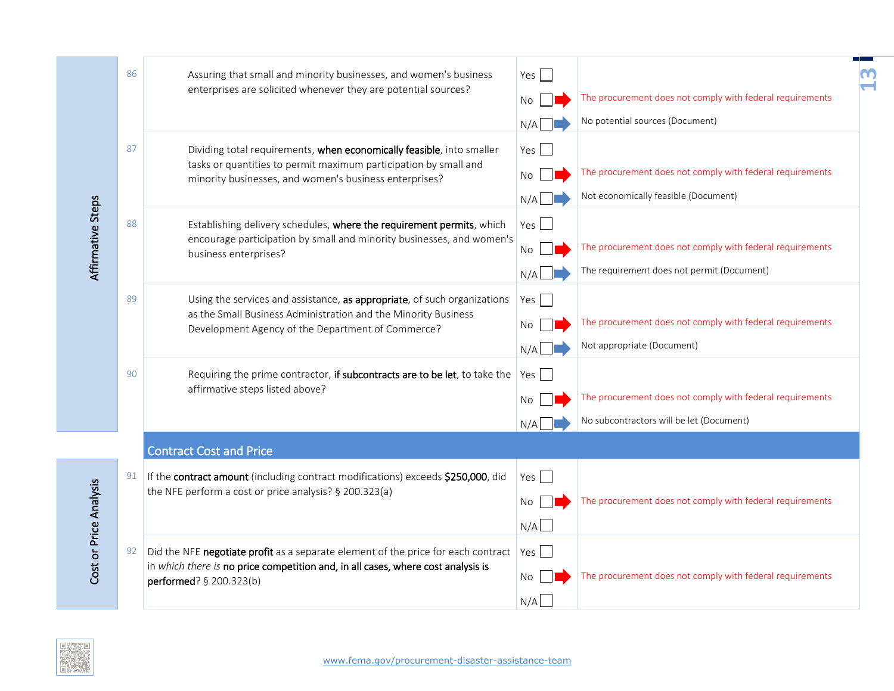| Affirmative Steps      | 86 | Assuring that small and minority businesses, and women's business<br>enterprises are solicited whenever they are potential sources?                                                                 | Yes $\Box$<br>No                 | The procurement does not comply with federal requirements                                                                            |  |
|------------------------|----|-----------------------------------------------------------------------------------------------------------------------------------------------------------------------------------------------------|----------------------------------|--------------------------------------------------------------------------------------------------------------------------------------|--|
|                        | 87 | Dividing total requirements, when economically feasible, into smaller<br>tasks or quantities to permit maximum participation by small and<br>minority businesses, and women's business enterprises? | N/A<br>Yes $\Box$<br>No          | No potential sources (Document)<br>The procurement does not comply with federal requirements<br>Not economically feasible (Document) |  |
|                        | 88 | Establishing delivery schedules, where the requirement permits, which<br>encourage participation by small and minority businesses, and women's<br>business enterprises?                             | N/A<br>$Yes$ $\Box$<br>No<br>N/A | The procurement does not comply with federal requirements<br>The requirement does not permit (Document)                              |  |
|                        | 89 | Using the services and assistance, as appropriate, of such organizations<br>as the Small Business Administration and the Minority Business<br>Development Agency of the Department of Commerce?     | Yes<br>No<br>N/A                 | The procurement does not comply with federal requirements<br>Not appropriate (Document)                                              |  |
|                        | 90 | Requiring the prime contractor, if subcontracts are to be let, to take the<br>affirmative steps listed above?                                                                                       | Yes<br>No<br>N/A                 | The procurement does not comply with federal requirements<br>No subcontractors will be let (Document)                                |  |
|                        |    | <b>Contract Cost and Price</b>                                                                                                                                                                      |                                  |                                                                                                                                      |  |
| Cost or Price Analysis | 91 | If the contract amount (including contract modifications) exceeds \$250,000, did<br>the NFE perform a cost or price analysis? § 200.323(a)                                                          | Yes $\Box$<br>No<br>N/A          | The procurement does not comply with federal requirements                                                                            |  |
|                        | 92 | Did the NFE negotiate profit as a separate element of the price for each contract<br>in which there is no price competition and, in all cases, where cost analysis is<br>performed? § 200.323(b)    | Yes $\Box$<br>No.<br>N/A         | The procurement does not comply with federal requirements                                                                            |  |
|                        |    |                                                                                                                                                                                                     |                                  |                                                                                                                                      |  |